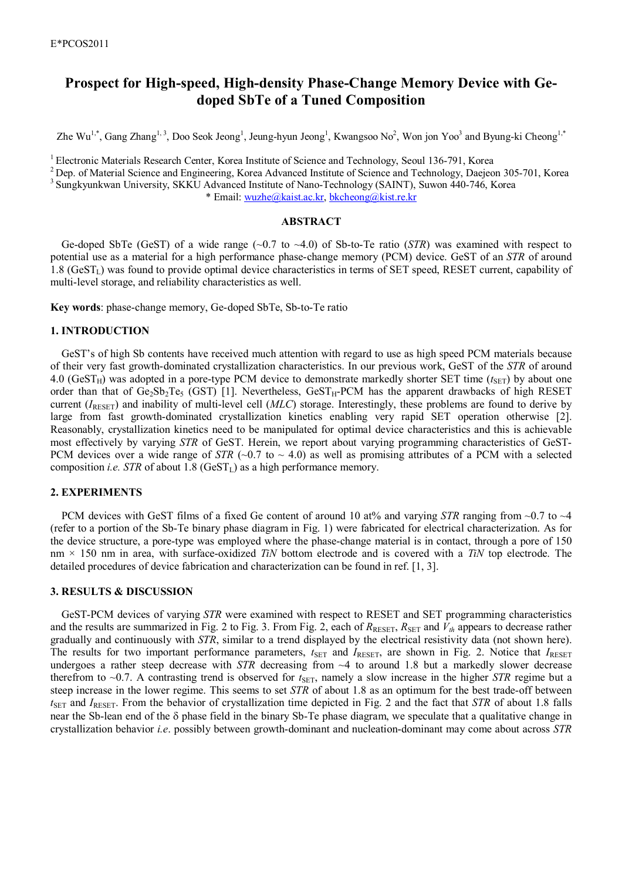# **Prospect for High-speed, High-density Phase-Change Memory Device with Gedoped SbTe of a Tuned Composition**

Zhe Wu<sup>1,\*</sup>, Gang Zhang<sup>1,3</sup>, Doo Seok Jeong<sup>1</sup>, Jeung-hyun Jeong<sup>1</sup>, Kwangsoo No<sup>2</sup>, Won jon Yoo<sup>3</sup> and Byung-ki Cheong<sup>1,\*</sup>

<sup>1</sup> Electronic Materials Research Center, Korea Institute of Science and Technology, Seoul 136-791, Korea

<sup>2</sup> Dep. of Material Science and Engineering, Korea Advanced Institute of Science and Technology, Daejeon 305-701, Korea

<sup>3</sup> Sungkyunkwan University, SKKU Advanced Institute of Nano-Technology (SAINT), Suwon 440-746, Korea

\* Email: wuzhe@kaist.ac.kr, bkcheong@kist.re.kr

## **ABSTRACT**

Ge-doped SbTe (GeST) of a wide range  $(\sim 0.7 \text{ to } \sim 4.0)$  of Sb-to-Te ratio (*STR*) was examined with respect to potential use as a material for a high performance phase-change memory (PCM) device. GeST of an *STR* of around  $1.8$  (GeST<sub>L</sub>) was found to provide optimal device characteristics in terms of SET speed, RESET current, capability of multi-level storage, and reliability characteristics as well.

**Key words**: phase-change memory, Ge-doped SbTe, Sb-to-Te ratio

## **1. INTRODUCTION**

GeST's of high Sb contents have received much attention with regard to use as high speed PCM materials because of their very fast growth-dominated crystallization characteristics. In our previous work, GeST of the *STR* of around 4.0 (GeST<sub>H</sub>) was adopted in a pore-type PCM device to demonstrate markedly shorter SET time ( $t_{\text{SET}}$ ) by about one order than that of  $Ge_2Sb_2Te_5$  (GST) [1]. Nevertheless,  $Ge_3T_H-PCM$  has the apparent drawbacks of high RESET current (*I*RESET) and inability of multi-level cell (*MLC*) storage. Interestingly, these problems are found to derive by large from fast growth-dominated crystallization kinetics enabling very rapid SET operation otherwise [2]. Reasonably, crystallization kinetics need to be manipulated for optimal device characteristics and this is achievable most effectively by varying *STR* of GeST. Herein, we report about varying programming characteristics of GeST-PCM devices over a wide range of *STR* ( $\sim$ 0.7 to  $\sim$  4.0) as well as promising attributes of a PCM with a selected composition *i.e.* STR of about 1.8 (GeST<sub>L</sub>) as a high performance memory.

#### **2. EXPERIMENTS**

PCM devices with GeST films of a fixed Ge content of around 10 at% and varying *STR* ranging from ~0.7 to ~4 (refer to a portion of the Sb-Te binary phase diagram in Fig. 1) were fabricated for electrical characterization. As for the device structure, a pore-type was employed where the phase-change material is in contact, through a pore of 150 nm × 150 nm in area, with surface-oxidized *TiN* bottom electrode and is covered with a *TiN* top electrode. The detailed procedures of device fabrication and characterization can be found in ref. [1, 3].

# **3. RESULTS & DISCUSSION**

GeST-PCM devices of varying *STR* were examined with respect to RESET and SET programming characteristics and the results are summarized in Fig. 2 to Fig. 3. From Fig. 2, each of  $R_{\text{RESET}}$ ,  $R_{\text{SET}}$  and  $V_{th}$  appears to decrease rather gradually and continuously with *STR*, similar to a trend displayed by the electrical resistivity data (not shown here). The results for two important performance parameters,  $t_{\text{SET}}$  and *I*RESET, are shown in Fig. 2. Notice that *IRESET* undergoes a rather steep decrease with *STR* decreasing from ~4 to around 1.8 but a markedly slower decrease therefrom to  $\sim$ 0.7. A contrasting trend is observed for  $t_{\text{SET}}$ , namely a slow increase in the higher *STR* regime but a steep increase in the lower regime. This seems to set *STR* of about 1.8 as an optimum for the best trade-off between *t*SET and *I*RESET. From the behavior of crystallization time depicted in Fig. 2 and the fact that *STR* of about 1.8 falls near the Sb-lean end of the  $\delta$  phase field in the binary Sb-Te phase diagram, we speculate that a qualitative change in crystallization behavior *i.e*. possibly between growth-dominant and nucleation-dominant may come about across *STR*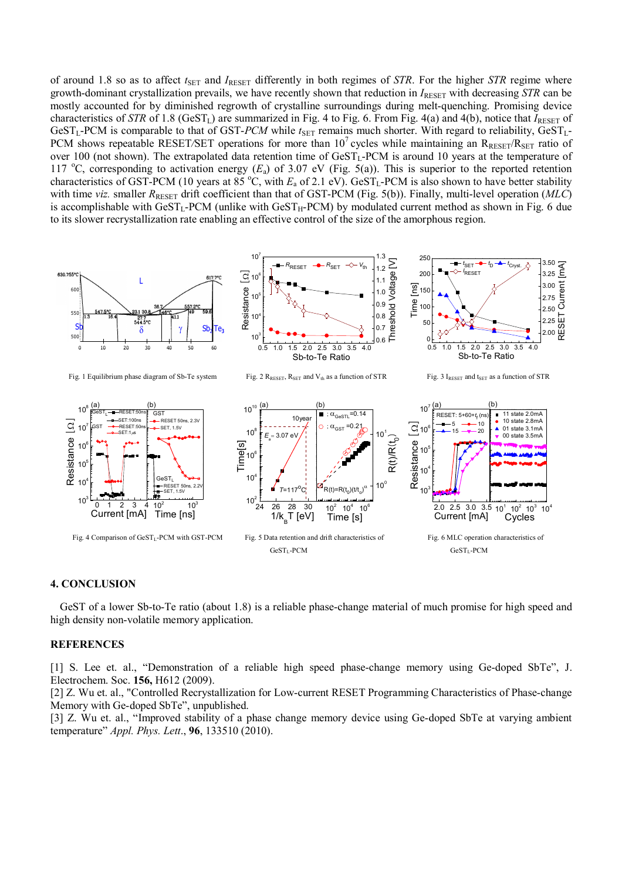of around 1.8 so as to affect  $t_{\text{SET}}$  and  $I_{\text{REST}}$  differently in both regimes of *STR*. For the higher *STR* regime where growth-dominant crystallization prevails, we have recently shown that reduction in  $I_{\text{RESFT}}$  with decreasing *STR* can be mostly accounted for by diminished regrowth of crystalline surroundings during melt-quenching. Promising device characteristics of *STR* of 1.8 (GeST<sub>L</sub>) are summarized in Fig. 4 to Fig. 6. From Fig. 4(a) and 4(b), notice that  $I_{\text{REST}}$  of GeST<sub>L</sub>-PCM is comparable to that of GST-PCM while  $t_{\text{SET}}$  remains much shorter. With regard to reliability, GeST<sub>L</sub>-PCM shows repeatable RESET/SET operations for more than 10<sup>7</sup> cycles while maintaining an R<sub>RESET</sub>/R<sub>SET</sub> ratio of over 100 (not shown). The extrapolated data retention time of  $GeST_L$ -PCM is around 10 years at the temperature of 117 <sup>o</sup>C, corresponding to activation energy  $(E_a)$  of 3.07 eV (Fig. 5(a)). This is superior to the reported retention characteristics of GST-PCM (10 years at  $85^{\circ}$ C, with  $E_a$  of 2.1 eV). GeST<sub>L</sub>-PCM is also shown to have better stability with time *viz.* smaller  $R_{\text{RESET}}$  drift coefficient than that of GST-PCM (Fig. 5(b)). Finally, multi-level operation (*MLC*) is accomplishable with  $GeST_L-PCM$  (unlike with  $GeST_H-PCM$ ) by modulated current method as shown in Fig. 6 due to its slower recrystallization rate enabling an effective control of the size of the amorphous region.



# **4. CONCLUSION**

GeST of a lower Sb-to-Te ratio (about 1.8) is a reliable phase-change material of much promise for high speed and high density non-volatile memory application.

## **REFERENCES**

[1] S. Lee et. al., "Demonstration of a reliable high speed phase-change memory using Ge-doped SbTe", J. Electrochem. Soc. **156,** H612 (2009).

[2] Z. Wu et. al., "Controlled Recrystallization for Low-current RESET Programming Characteristics of Phase-change Memory with Ge-doped SbTe", unpublished.

[3] Z. Wu et. al., "Improved stability of a phase change memory device using Ge-doped SbTe at varying ambient temperature" *Appl. Phys. Lett*., **96**, 133510 (2010).